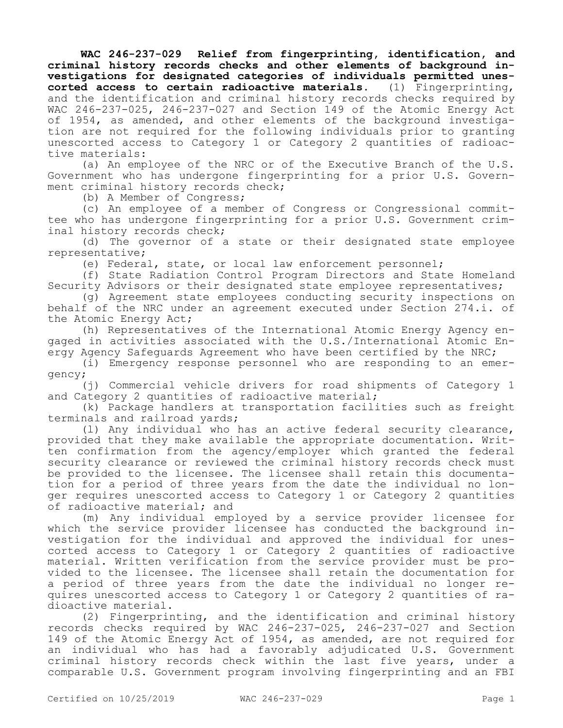**WAC 246-237-029 Relief from fingerprinting, identification, and criminal history records checks and other elements of background investigations for designated categories of individuals permitted unescorted access to certain radioactive materials.** (1) Fingerprinting, and the identification and criminal history records checks required by WAC 246-237-025, 246-237-027 and Section 149 of the Atomic Energy Act of 1954, as amended, and other elements of the background investigation are not required for the following individuals prior to granting unescorted access to Category 1 or Category 2 quantities of radioactive materials:

(a) An employee of the NRC or of the Executive Branch of the U.S. Government who has undergone fingerprinting for a prior U.S. Government criminal history records check;

(b) A Member of Congress;

(c) An employee of a member of Congress or Congressional committee who has undergone fingerprinting for a prior U.S. Government criminal history records check;

(d) The governor of a state or their designated state employee representative;

(e) Federal, state, or local law enforcement personnel;

(f) State Radiation Control Program Directors and State Homeland Security Advisors or their designated state employee representatives;

(g) Agreement state employees conducting security inspections on behalf of the NRC under an agreement executed under Section 274.i. of the Atomic Energy Act;

(h) Representatives of the International Atomic Energy Agency engaged in activities associated with the U.S./International Atomic Energy Agency Safeguards Agreement who have been certified by the NRC;

(i) Emergency response personnel who are responding to an emergency;

(j) Commercial vehicle drivers for road shipments of Category 1 and Category 2 quantities of radioactive material;

(k) Package handlers at transportation facilities such as freight terminals and railroad yards;

(l) Any individual who has an active federal security clearance, provided that they make available the appropriate documentation. Written confirmation from the agency/employer which granted the federal security clearance or reviewed the criminal history records check must be provided to the licensee. The licensee shall retain this documentation for a period of three years from the date the individual no longer requires unescorted access to Category 1 or Category 2 quantities of radioactive material; and

(m) Any individual employed by a service provider licensee for which the service provider licensee has conducted the background investigation for the individual and approved the individual for unescorted access to Category 1 or Category 2 quantities of radioactive material. Written verification from the service provider must be provided to the licensee. The licensee shall retain the documentation for a period of three years from the date the individual no longer requires unescorted access to Category 1 or Category 2 quantities of radioactive material.

(2) Fingerprinting, and the identification and criminal history records checks required by WAC 246-237-025, 246-237-027 and Section 149 of the Atomic Energy Act of 1954, as amended, are not required for an individual who has had a favorably adjudicated U.S. Government criminal history records check within the last five years, under a comparable U.S. Government program involving fingerprinting and an FBI